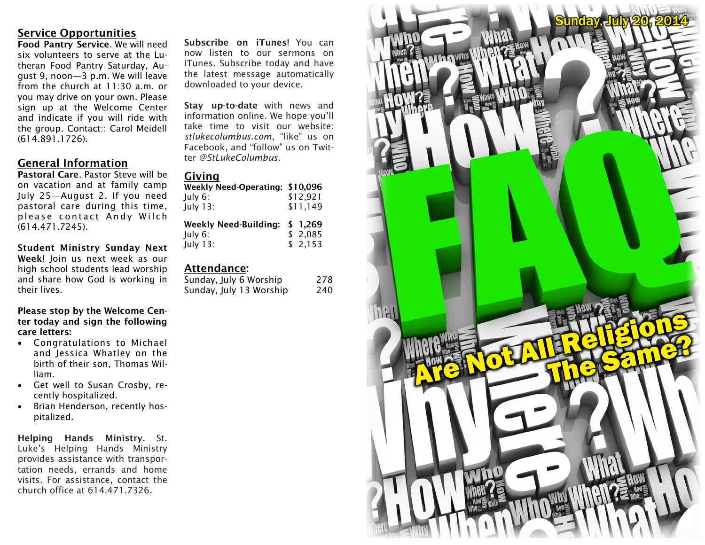# **Service Opportunities**

**Food Pantry Service**. We will need six volunteers to serve at the Lutheran Food Pantry Saturday, August 9, noon—3 p.m. We will leave from the church at 11:30 a.m. or you may drive on your own. Please sign up at the Welcome Center and indicate if you will ride with the group. Contact:: Carol Meidell (614.891.1726).

## **General Information**

**Pastoral Care**. Pastor Steve will be on vacation and at family camp July 25—August 2. If you need pastoral care during this time, please contact Andy Wilch (614.471.7245).

**Student Ministry Sunday Next Week!** Join us next week as our high school students lead worship and share how God is working in their lives.

**Please stop by the Welcome Center today and sign the following care letters:**

- Congratulations to Michael and Jessica Whatley on the birth of their son, Thomas William.
- Get well to Susan Crosby, recently hospitalized.
- Brian Henderson, recently hospitalized.

**Helping Hands Ministry.** St. Luke's Helping Hands Ministry provides assistance with transportation needs, errands and home visits. For assistance, contact the church office at 614.471.7326.

**Subscribe on iTunes!** You can now listen to our sermons on iTunes. Subscribe today and have the latest message automatically downloaded to your device.

**Stay up-to-date** with news and information online. We hope you'll take time to visit our website: *stlukecolumbus.com*, "like" us on Facebook, and "follow" us on Twitter *@StLukeColumbus*.

#### **Giving**

| Weekly Need-Operating: \$10,096<br>July 6:<br>July 13: | \$12,921<br>\$11,149 |
|--------------------------------------------------------|----------------------|
| <b>Weekly Need-Building:</b>                           | \$ 1.269             |
| July 6:                                                | \$2,085              |
| July 13:                                               | \$2,153              |

# **Attendance:**

| Sunday, July 6 Worship  | 278 |
|-------------------------|-----|
| Sunday, July 13 Worship | 240 |